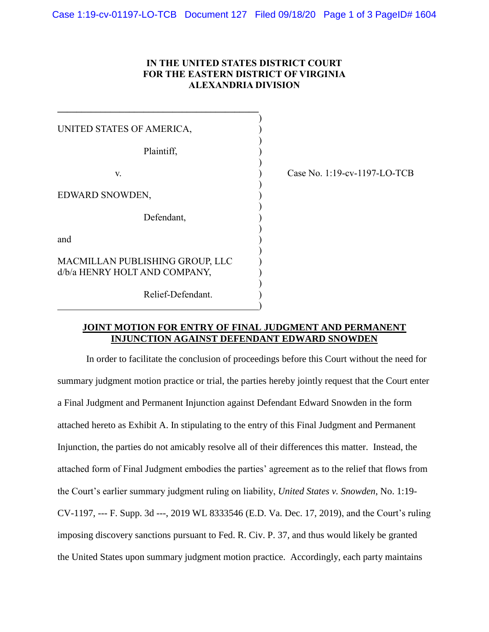## **IN THE UNITED STATES DISTRICT COURT FOR THE EASTERN DISTRICT OF VIRGINIA ALEXANDRIA DIVISION**

)

| UNITED STATES OF AMERICA,                                        |  |  |  |  |  |
|------------------------------------------------------------------|--|--|--|--|--|
| Plaintiff,                                                       |  |  |  |  |  |
| V.                                                               |  |  |  |  |  |
| EDWARD SNOWDEN,                                                  |  |  |  |  |  |
| Defendant,                                                       |  |  |  |  |  |
| and                                                              |  |  |  |  |  |
| MACMILLAN PUBLISHING GROUP, LLC<br>d/b/a HENRY HOLT AND COMPANY, |  |  |  |  |  |

Relief-Defendant. )

)

**\_\_\_\_\_\_\_\_\_\_\_\_\_\_\_\_\_\_\_\_\_\_\_\_\_\_\_\_\_\_\_\_\_\_\_\_\_\_\_\_\_\_** 

Case No. 1:19-cv-1197-LO-TCB

#### **JOINT MOTION FOR ENTRY OF FINAL JUDGMENT AND PERMANENT INJUNCTION AGAINST DEFENDANT EDWARD SNOWDEN**

In order to facilitate the conclusion of proceedings before this Court without the need for summary judgment motion practice or trial, the parties hereby jointly request that the Court enter a Final Judgment and Permanent Injunction against Defendant Edward Snowden in the form attached hereto as Exhibit A. In stipulating to the entry of this Final Judgment and Permanent Injunction, the parties do not amicably resolve all of their differences this matter. Instead, the attached form of Final Judgment embodies the parties' agreement as to the relief that flows from the Court's earlier summary judgment ruling on liability, *United States v. Snowden*, No. 1:19- CV-1197, --- F. Supp. 3d ---, 2019 WL 8333546 (E.D. Va. Dec. 17, 2019), and the Court's ruling imposing discovery sanctions pursuant to Fed. R. Civ. P. 37, and thus would likely be granted the United States upon summary judgment motion practice. Accordingly, each party maintains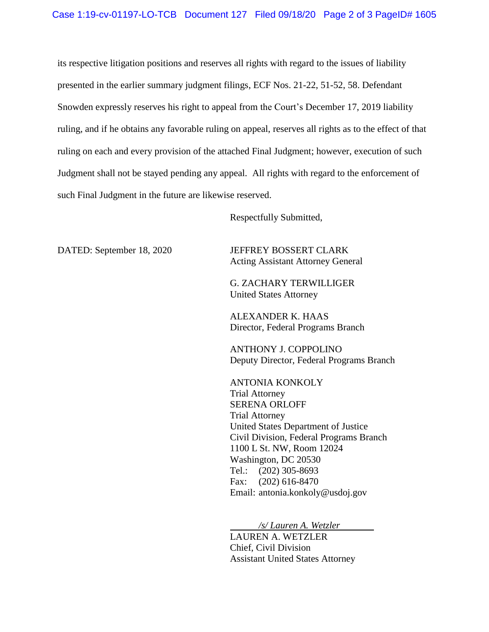its respective litigation positions and reserves all rights with regard to the issues of liability presented in the earlier summary judgment filings, ECF Nos. 21-22, 51-52, 58. Defendant Snowden expressly reserves his right to appeal from the Court's December 17, 2019 liability ruling, and if he obtains any favorable ruling on appeal, reserves all rights as to the effect of that ruling on each and every provision of the attached Final Judgment; however, execution of such Judgment shall not be stayed pending any appeal. All rights with regard to the enforcement of such Final Judgment in the future are likewise reserved.

Respectfully Submitted,

DATED: September 18, 2020 JEFFREY BOSSERT CLARK Acting Assistant Attorney General

> G. ZACHARY TERWILLIGER United States Attorney

ALEXANDER K. HAAS Director, Federal Programs Branch

ANTHONY J. COPPOLINO Deputy Director, Federal Programs Branch

ANTONIA KONKOLY Trial Attorney SERENA ORLOFF Trial Attorney United States Department of Justice Civil Division, Federal Programs Branch 1100 L St. NW, Room 12024 Washington, DC 20530 Tel.: (202) 305-8693 Fax: (202) 616-8470 Email: antonia.konkoly@usdoj.gov

*/s/ Lauren A. Wetzler* LAUREN A. WETZLER Chief, Civil Division Assistant United States Attorney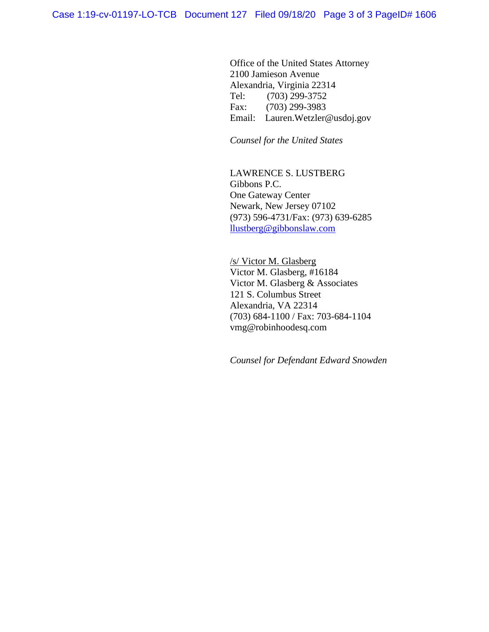Office of the United States Attorney 2100 Jamieson Avenue Alexandria, Virginia 22314 Tel: (703) 299-3752 Fax: (703) 299-3983 Email: Lauren.Wetzler@usdoj.gov

*Counsel for the United States* 

LAWRENCE S. LUSTBERG Gibbons P.C. One Gateway Center Newark, New Jersey 07102 (973) 596-4731/Fax: (973) 639-6285 [llustberg@gibbonslaw.com](mailto:llustberg@gibbonslaw.com)

/s/ Victor M. Glasberg Victor M. Glasberg, #16184 Victor M. Glasberg & Associates 121 S. Columbus Street Alexandria, VA 22314 (703) 684-1100 / Fax: 703-684-1104 vmg@robinhoodesq.com

*Counsel for Defendant Edward Snowden*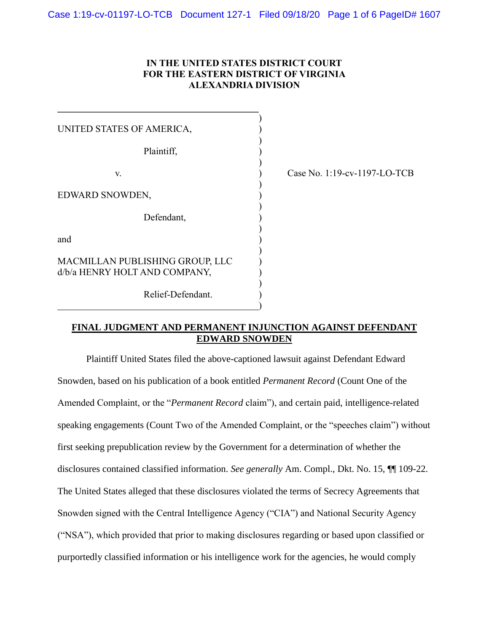## **IN THE UNITED STATES DISTRICT COURT FOR THE EASTERN DISTRICT OF VIRGINIA ALEXANDRIA DIVISION**

)

)

| UNITED STATES OF AMERICA,                                        |  |  |  |  |  |
|------------------------------------------------------------------|--|--|--|--|--|
| Plaintiff.                                                       |  |  |  |  |  |
| V.                                                               |  |  |  |  |  |
| EDWARD SNOWDEN,                                                  |  |  |  |  |  |
| Defendant,                                                       |  |  |  |  |  |
| and                                                              |  |  |  |  |  |
| MACMILLAN PUBLISHING GROUP, LLC<br>d/b/a HENRY HOLT AND COMPANY, |  |  |  |  |  |

Relief-Defendant. )

)

**\_\_\_\_\_\_\_\_\_\_\_\_\_\_\_\_\_\_\_\_\_\_\_\_\_\_\_\_\_\_\_\_\_\_\_\_\_\_\_\_\_\_** 

Case No. 1:19-cv-1197-LO-TCB

#### **FINAL JUDGMENT AND PERMANENT INJUNCTION AGAINST DEFENDANT EDWARD SNOWDEN**

Plaintiff United States filed the above-captioned lawsuit against Defendant Edward Snowden, based on his publication of a book entitled *Permanent Record* (Count One of the Amended Complaint, or the "*Permanent Record* claim"), and certain paid, intelligence-related speaking engagements (Count Two of the Amended Complaint, or the "speeches claim") without first seeking prepublication review by the Government for a determination of whether the disclosures contained classified information. *See generally* Am. Compl., Dkt. No. 15, ¶¶ 109-22. The United States alleged that these disclosures violated the terms of Secrecy Agreements that Snowden signed with the Central Intelligence Agency ("CIA") and National Security Agency ("NSA"), which provided that prior to making disclosures regarding or based upon classified or purportedly classified information or his intelligence work for the agencies, he would comply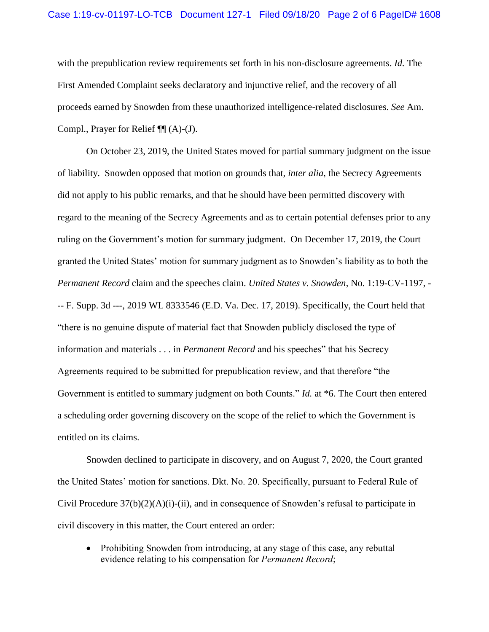with the prepublication review requirements set forth in his non-disclosure agreements. *Id.* The First Amended Complaint seeks declaratory and injunctive relief, and the recovery of all proceeds earned by Snowden from these unauthorized intelligence-related disclosures. *See* Am. Compl., Prayer for Relief ¶¶ (A)-(J).

On October 23, 2019, the United States moved for partial summary judgment on the issue of liability. Snowden opposed that motion on grounds that, *inter alia*, the Secrecy Agreements did not apply to his public remarks, and that he should have been permitted discovery with regard to the meaning of the Secrecy Agreements and as to certain potential defenses prior to any ruling on the Government's motion for summary judgment. On December 17, 2019, the Court granted the United States' motion for summary judgment as to Snowden's liability as to both the *Permanent Record* claim and the speeches claim. *United States v. Snowden*, No. 1:19-CV-1197, - -- F. Supp. 3d ---, 2019 WL 8333546 (E.D. Va. Dec. 17, 2019). Specifically, the Court held that "there is no genuine dispute of material fact that Snowden publicly disclosed the type of information and materials . . . in *Permanent Record* and his speeches" that his Secrecy Agreements required to be submitted for prepublication review, and that therefore "the Government is entitled to summary judgment on both Counts." *Id.* at \*6. The Court then entered a scheduling order governing discovery on the scope of the relief to which the Government is entitled on its claims.

Snowden declined to participate in discovery, and on August 7, 2020, the Court granted the United States' motion for sanctions. Dkt. No. 20. Specifically, pursuant to Federal Rule of Civil Procedure  $37(b)(2)(A)(i)-(ii)$ , and in consequence of Snowden's refusal to participate in civil discovery in this matter, the Court entered an order:

• Prohibiting Snowden from introducing, at any stage of this case, any rebuttal evidence relating to his compensation for *Permanent Record*;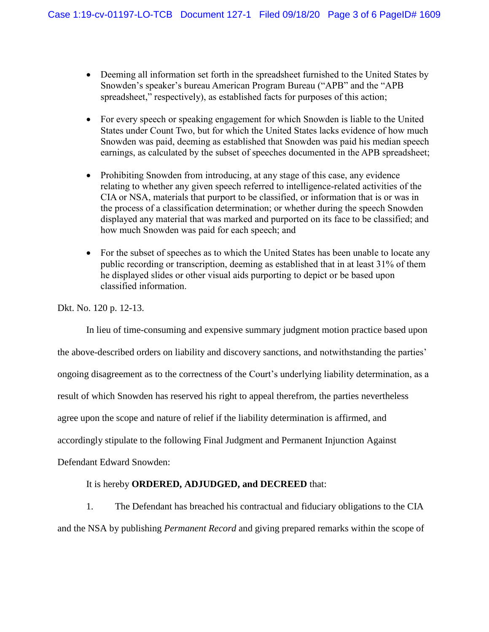- Deeming all information set forth in the spreadsheet furnished to the United States by Snowden's speaker's bureau American Program Bureau ("APB" and the "APB spreadsheet," respectively), as established facts for purposes of this action;
- For every speech or speaking engagement for which Snowden is liable to the United States under Count Two, but for which the United States lacks evidence of how much Snowden was paid, deeming as established that Snowden was paid his median speech earnings, as calculated by the subset of speeches documented in the APB spreadsheet;
- Prohibiting Snowden from introducing, at any stage of this case, any evidence relating to whether any given speech referred to intelligence-related activities of the CIA or NSA, materials that purport to be classified, or information that is or was in the process of a classification determination; or whether during the speech Snowden displayed any material that was marked and purported on its face to be classified; and how much Snowden was paid for each speech; and
- For the subset of speeches as to which the United States has been unable to locate any public recording or transcription, deeming as established that in at least 31% of them he displayed slides or other visual aids purporting to depict or be based upon classified information.

Dkt. No. 120 p. 12-13.

In lieu of time-consuming and expensive summary judgment motion practice based upon the above-described orders on liability and discovery sanctions, and notwithstanding the parties' ongoing disagreement as to the correctness of the Court's underlying liability determination, as a result of which Snowden has reserved his right to appeal therefrom, the parties nevertheless agree upon the scope and nature of relief if the liability determination is affirmed, and accordingly stipulate to the following Final Judgment and Permanent Injunction Against Defendant Edward Snowden:

# It is hereby **ORDERED, ADJUDGED, and DECREED** that:

1. The Defendant has breached his contractual and fiduciary obligations to the CIA and the NSA by publishing *Permanent Record* and giving prepared remarks within the scope of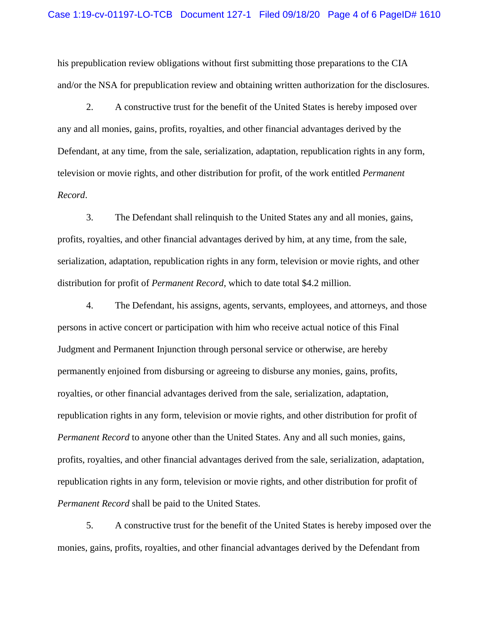his prepublication review obligations without first submitting those preparations to the CIA and/or the NSA for prepublication review and obtaining written authorization for the disclosures.

2. A constructive trust for the benefit of the United States is hereby imposed over any and all monies, gains, profits, royalties, and other financial advantages derived by the Defendant, at any time, from the sale, serialization, adaptation, republication rights in any form, television or movie rights, and other distribution for profit, of the work entitled *Permanent Record*.

3. The Defendant shall relinquish to the United States any and all monies, gains, profits, royalties, and other financial advantages derived by him, at any time, from the sale, serialization, adaptation, republication rights in any form, television or movie rights, and other distribution for profit of *Permanent Record*, which to date total \$4.2 million.

4. The Defendant, his assigns, agents, servants, employees, and attorneys, and those persons in active concert or participation with him who receive actual notice of this Final Judgment and Permanent Injunction through personal service or otherwise, are hereby permanently enjoined from disbursing or agreeing to disburse any monies, gains, profits, royalties, or other financial advantages derived from the sale, serialization, adaptation, republication rights in any form, television or movie rights, and other distribution for profit of *Permanent Record* to anyone other than the United States. Any and all such monies, gains, profits, royalties, and other financial advantages derived from the sale, serialization, adaptation, republication rights in any form, television or movie rights, and other distribution for profit of *Permanent Record* shall be paid to the United States.

5. A constructive trust for the benefit of the United States is hereby imposed over the monies, gains, profits, royalties, and other financial advantages derived by the Defendant from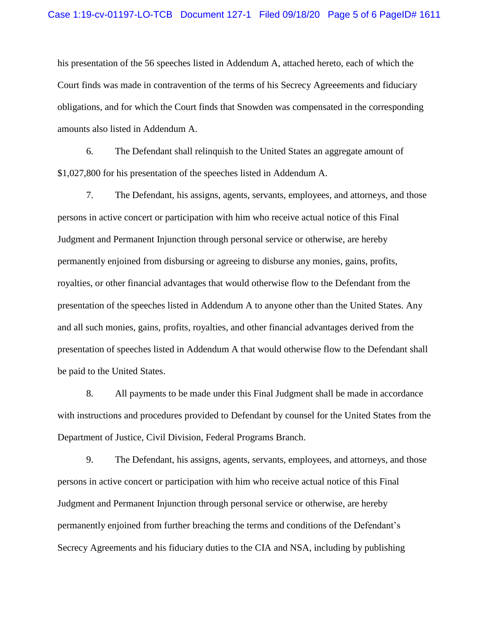his presentation of the 56 speeches listed in Addendum A, attached hereto, each of which the Court finds was made in contravention of the terms of his Secrecy Agreeements and fiduciary obligations, and for which the Court finds that Snowden was compensated in the corresponding amounts also listed in Addendum A.

6. The Defendant shall relinquish to the United States an aggregate amount of \$1,027,800 for his presentation of the speeches listed in Addendum A.

7. The Defendant, his assigns, agents, servants, employees, and attorneys, and those persons in active concert or participation with him who receive actual notice of this Final Judgment and Permanent Injunction through personal service or otherwise, are hereby permanently enjoined from disbursing or agreeing to disburse any monies, gains, profits, royalties, or other financial advantages that would otherwise flow to the Defendant from the presentation of the speeches listed in Addendum A to anyone other than the United States. Any and all such monies, gains, profits, royalties, and other financial advantages derived from the presentation of speeches listed in Addendum A that would otherwise flow to the Defendant shall be paid to the United States.

8. All payments to be made under this Final Judgment shall be made in accordance with instructions and procedures provided to Defendant by counsel for the United States from the Department of Justice, Civil Division, Federal Programs Branch.

9. The Defendant, his assigns, agents, servants, employees, and attorneys, and those persons in active concert or participation with him who receive actual notice of this Final Judgment and Permanent Injunction through personal service or otherwise, are hereby permanently enjoined from further breaching the terms and conditions of the Defendant's Secrecy Agreements and his fiduciary duties to the CIA and NSA, including by publishing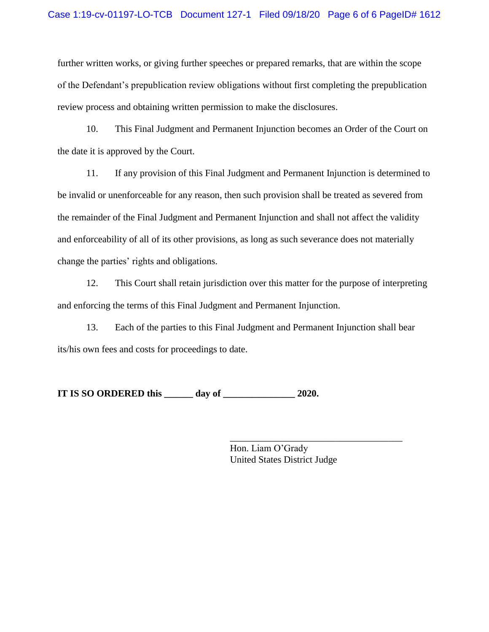further written works, or giving further speeches or prepared remarks, that are within the scope of the Defendant's prepublication review obligations without first completing the prepublication review process and obtaining written permission to make the disclosures.

10. This Final Judgment and Permanent Injunction becomes an Order of the Court on the date it is approved by the Court.

11. If any provision of this Final Judgment and Permanent Injunction is determined to be invalid or unenforceable for any reason, then such provision shall be treated as severed from the remainder of the Final Judgment and Permanent Injunction and shall not affect the validity and enforceability of all of its other provisions, as long as such severance does not materially change the parties' rights and obligations.

12. This Court shall retain jurisdiction over this matter for the purpose of interpreting and enforcing the terms of this Final Judgment and Permanent Injunction.

13. Each of the parties to this Final Judgment and Permanent Injunction shall bear its/his own fees and costs for proceedings to date.

**IT IS SO ORDERED this \_\_\_\_\_\_ day of \_\_\_\_\_\_\_\_\_\_\_\_\_\_\_ 2020.**

Hon. Liam O'Grady United States District Judge

\_\_\_\_\_\_\_\_\_\_\_\_\_\_\_\_\_\_\_\_\_\_\_\_\_\_\_\_\_\_\_\_\_\_\_\_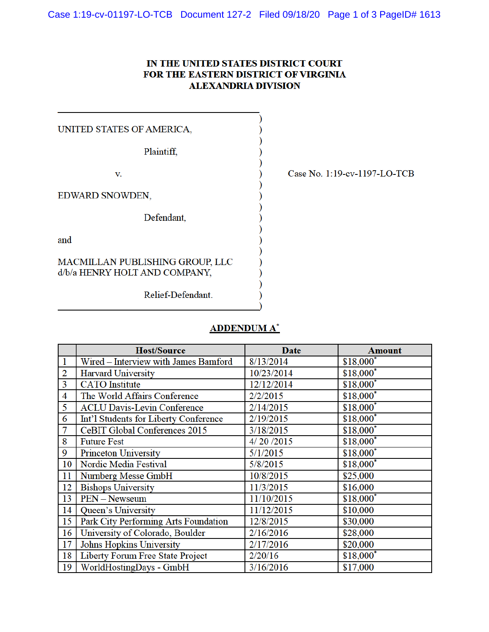# IN THE UNITED STATES DISTRICT COURT FOR THE EASTERN DISTRICT OF VIRGINIA **ALEXANDRIA DIVISION**

UNITED STATES OF AMERICA, Plaintiff, V. EDWARD SNOWDEN, Defendant, and

MACMILLAN PUBLISHING GROUP, LLC d/b/a HENRY HOLT AND COMPANY,

Relief-Defendant.

Case No. 1:19-cv-1197-LO-TCB

# **ADDENDUM A\***

|                | <b>Host/Source</b>                    | <b>Date</b> | <b>Amount</b>          |
|----------------|---------------------------------------|-------------|------------------------|
| $\mathbf{1}$   | Wired - Interview with James Bamford  | 8/13/2014   | $$18,000^*$            |
| $\overline{2}$ | <b>Harvard University</b>             | 10/23/2014  | \$18,000*              |
| 3              | <b>CATO</b> Institute                 | 12/12/2014  | $$18,000^*$            |
| 4              | The World Affairs Conference          | 2/2/2015    | $$18,000$ <sup>*</sup> |
| 5              | <b>ACLU Davis-Levin Conference</b>    | 2/14/2015   | $$18,000$ <sup>*</sup> |
| 6              | Int'l Students for Liberty Conference | 2/19/2015   | $$18,000$ <sup>*</sup> |
| 7              | <b>CeBIT Global Conferences 2015</b>  | 3/18/2015   | \$18,000*              |
| 8              | <b>Future Fest</b>                    | 4/20/2015   | $$18,000^*$            |
| 9              | <b>Princeton University</b>           | 5/1/2015    | \$18,000*              |
| 10             | Nordic Media Festival                 | 5/8/2015    | $$18,000^*$            |
| 11             | Numberg Messe GmbH                    | 10/8/2015   | \$25,000               |
| 12             | <b>Bishops University</b>             | 11/3/2015   | \$16,000               |
| 13             | <b>PEN</b> - Newseum                  | 11/10/2015  | $$18,000$ <sup>*</sup> |
| 14             | Queen's University                    | 11/12/2015  | \$10,000               |
| 15             | Park City Performing Arts Foundation  | 12/8/2015   | \$30,000               |
| 16             | University of Colorado, Boulder       | 2/16/2016   | \$28,000               |
| 17             | Johns Hopkins University              | 2/17/2016   | \$20,000               |
| 18             | Liberty Forum Free State Project      | 2/20/16     | $$18,000^*$            |
| 19             | WorldHostingDays - GmbH               | 3/16/2016   | \$17,000               |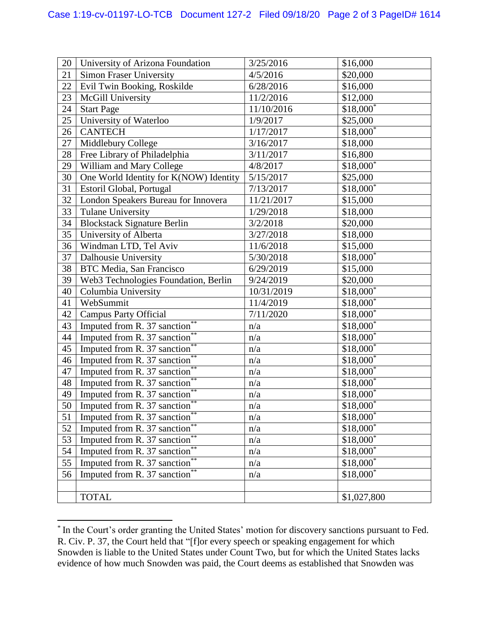| 20 | University of Arizona Foundation               | 3/25/2016  | \$16,000               |
|----|------------------------------------------------|------------|------------------------|
| 21 | <b>Simon Fraser University</b>                 | 4/5/2016   | \$20,000               |
| 22 | Evil Twin Booking, Roskilde                    | 6/28/2016  | \$16,000               |
| 23 | McGill University                              | 11/2/2016  | \$12,000               |
| 24 | <b>Start Page</b>                              | 11/10/2016 | $$18,000^*$            |
| 25 | University of Waterloo                         | 1/9/2017   | \$25,000               |
| 26 | <b>CANTECH</b>                                 | 1/17/2017  | $$18,000*$             |
| 27 | Middlebury College                             | 3/16/2017  | \$18,000               |
| 28 | Free Library of Philadelphia                   | 3/11/2017  | \$16,800               |
| 29 | William and Mary College                       | 4/8/2017   | $$18,000^*$            |
| 30 | One World Identity for K(NOW) Identity         | 5/15/2017  | \$25,000               |
| 31 | Estoril Global, Portugal                       | 7/13/2017  | $$18,000*$             |
| 32 | London Speakers Bureau for Innovera            | 11/21/2017 | \$15,000               |
| 33 | Tulane University                              | 1/29/2018  | \$18,000               |
| 34 | <b>Blockstack Signature Berlin</b>             | 3/2/2018   | \$20,000               |
| 35 | University of Alberta                          | 3/27/2018  | \$18,000               |
| 36 | Windman LTD, Tel Aviv                          | 11/6/2018  | \$15,000               |
| 37 | Dalhousie University                           | 5/30/2018  | $$18,000^*$            |
| 38 | <b>BTC Media, San Francisco</b>                | 6/29/2019  | \$15,000               |
| 39 | Web3 Technologies Foundation, Berlin           | 9/24/2019  | \$20,000               |
| 40 | Columbia University                            | 10/31/2019 | $$18,000^*$            |
| 41 | WebSummit                                      | 11/4/2019  | \$18,000*              |
| 42 | <b>Campus Party Official</b>                   | 7/11/2020  | $$18,000^*$            |
| 43 | Imputed from R. 37 sanction <sup>*</sup>       | n/a        | $$18,000^*$            |
| 44 | **<br>Imputed from R. 37 sanction <sup>*</sup> | n/a        | $$18,000^*$            |
| 45 | Imputed from R. 37 sanction**                  | n/a        | \$18,000*              |
| 46 | Imputed from R. 37 sanction <sup>*</sup>       | n/a        | $$18,000$ <sup>*</sup> |
| 47 | Imputed from R. 37 sanction*                   | n/a        | $$18,000^*$            |
| 48 | **<br>Imputed from R. 37 sanction <sup>*</sup> | n/a        | \$18,000*              |
| 49 | Imputed from R. 37 sanction <sup>*</sup>       | n/a        | \$18,000*              |
| 50 | **<br>Imputed from R. 37 sanction              | n/a        | $$18,000^*$            |
| 51 | Imputed from R. 37 sanction <sup>*</sup>       | n/a        | \$18,000               |
| 52 | **<br>Imputed from R. 37 sanction <sup>*</sup> | n/a        | $$18,000*$             |
| 53 | Imputed from R. 37 sanction**                  | n/a        | \$18,000*              |
| 54 | Imputed from R. 37 sanction <sup>*</sup>       | n/a        | \$18,000*              |
| 55 | **<br>Imputed from R. 37 sanction*             | n/a        | $$18,000*$             |
| 56 | **<br>Imputed from R. 37 sanction <sup>*</sup> | n/a        | \$18,000*              |
|    |                                                |            |                        |
|    | <b>TOTAL</b>                                   |            | \$1,027,800            |

<sup>\*</sup> In the Court's order granting the United States' motion for discovery sanctions pursuant to Fed. R. Civ. P. 37, the Court held that "[f]or every speech or speaking engagement for which Snowden is liable to the United States under Count Two, but for which the United States lacks evidence of how much Snowden was paid, the Court deems as established that Snowden was

 $\overline{\phantom{a}}$